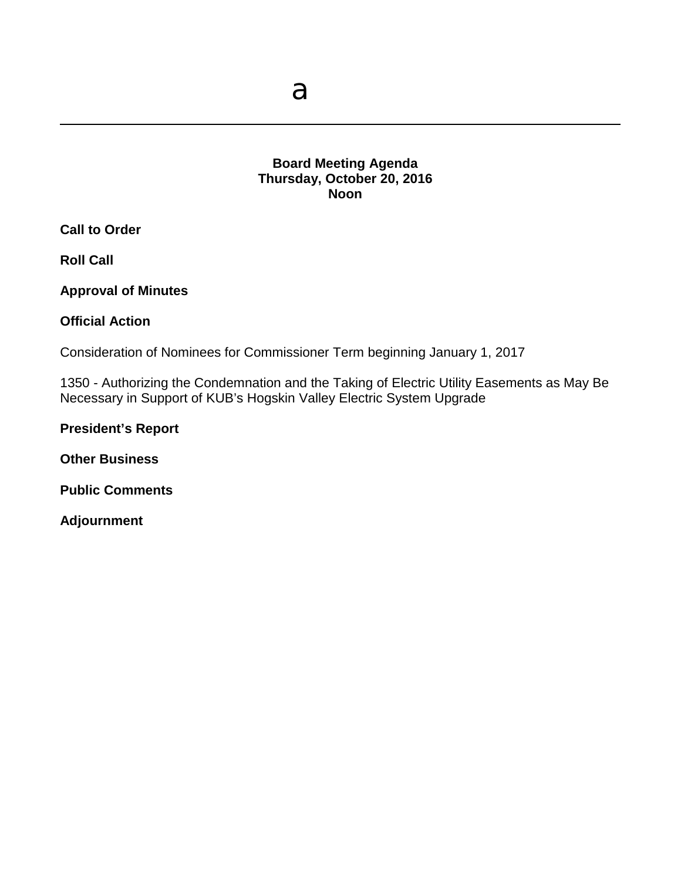# **Board Meeting Agenda Thursday, October 20, 2016 Noon**

**Call to Order**

**Roll Call**

**Approval of Minutes**

**Official Action** 

Consideration of Nominees for Commissioner Term beginning January 1, 2017

1350 - Authorizing the Condemnation and the Taking of Electric Utility Easements as May Be Necessary in Support of KUB's Hogskin Valley Electric System Upgrade

**President's Report**

**Other Business**

**Public Comments**

**Adjournment**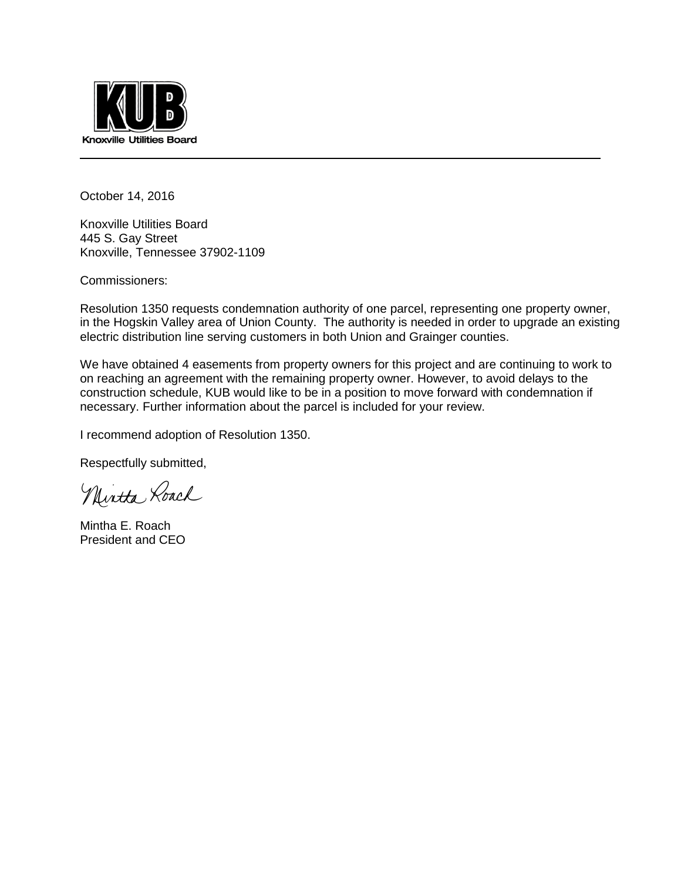

October 14, 2016

Knoxville Utilities Board 445 S. Gay Street Knoxville, Tennessee 37902-1109

Commissioners:

Resolution 1350 requests condemnation authority of one parcel, representing one property owner, in the Hogskin Valley area of Union County. The authority is needed in order to upgrade an existing electric distribution line serving customers in both Union and Grainger counties.

We have obtained 4 easements from property owners for this project and are continuing to work to on reaching an agreement with the remaining property owner. However, to avoid delays to the construction schedule, KUB would like to be in a position to move forward with condemnation if necessary. Further information about the parcel is included for your review.

I recommend adoption of Resolution 1350.

Respectfully submitted,

Mirtta Loach

Mintha E. Roach President and CEO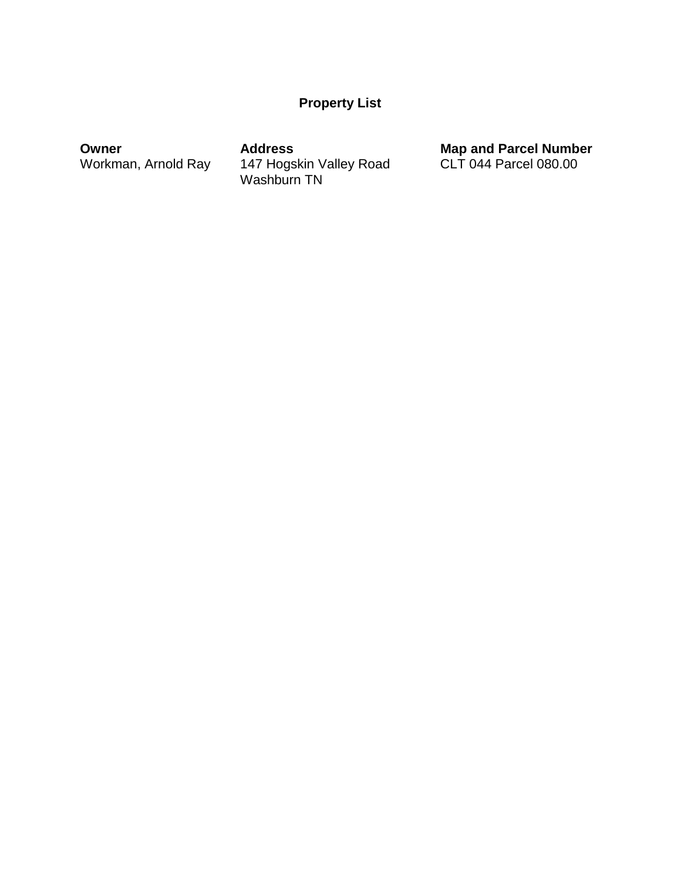# **Property List**

Workman, Arnold Ray 147 Hogskin Valley Road CLT 044 Parcel 080.00 Washburn TN

**Owner Address Address Map and Parcel Number**<br>
Workman, Arnold Ray 147 Hogskin Valley Road CLT 044 Parcel 080.00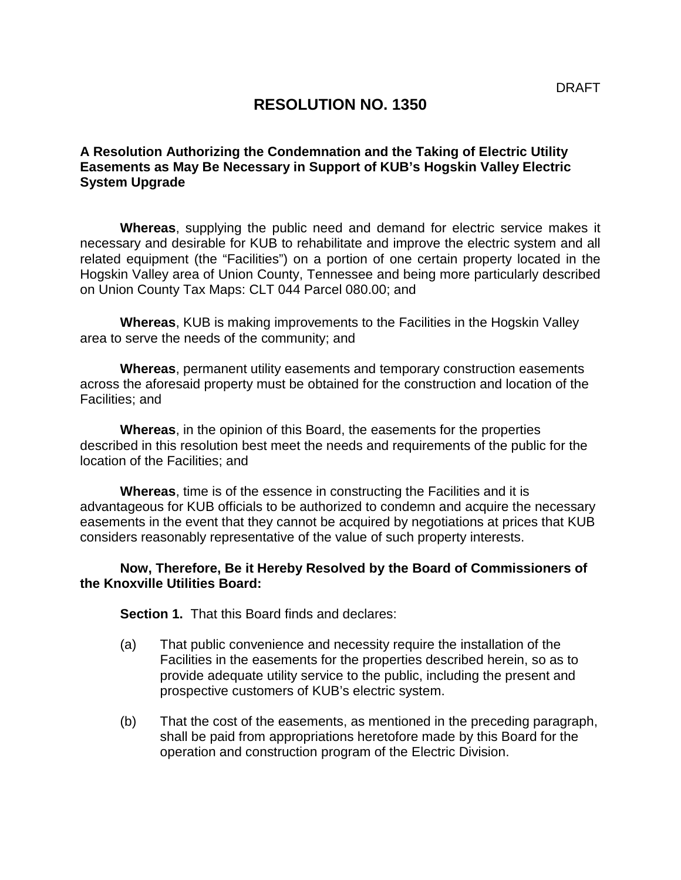# **RESOLUTION NO. 1350**

# **A Resolution Authorizing the Condemnation and the Taking of Electric Utility Easements as May Be Necessary in Support of KUB's Hogskin Valley Electric System Upgrade**

**Whereas**, supplying the public need and demand for electric service makes it necessary and desirable for KUB to rehabilitate and improve the electric system and all related equipment (the "Facilities") on a portion of one certain property located in the Hogskin Valley area of Union County, Tennessee and being more particularly described on Union County Tax Maps: CLT 044 Parcel 080.00; and

**Whereas**, KUB is making improvements to the Facilities in the Hogskin Valley area to serve the needs of the community; and

**Whereas**, permanent utility easements and temporary construction easements across the aforesaid property must be obtained for the construction and location of the Facilities; and

**Whereas**, in the opinion of this Board, the easements for the properties described in this resolution best meet the needs and requirements of the public for the location of the Facilities; and

**Whereas**, time is of the essence in constructing the Facilities and it is advantageous for KUB officials to be authorized to condemn and acquire the necessary easements in the event that they cannot be acquired by negotiations at prices that KUB considers reasonably representative of the value of such property interests.

### **Now, Therefore, Be it Hereby Resolved by the Board of Commissioners of the Knoxville Utilities Board:**

**Section 1.** That this Board finds and declares:

- (a) That public convenience and necessity require the installation of the Facilities in the easements for the properties described herein, so as to provide adequate utility service to the public, including the present and prospective customers of KUB's electric system.
- (b) That the cost of the easements, as mentioned in the preceding paragraph, shall be paid from appropriations heretofore made by this Board for the operation and construction program of the Electric Division.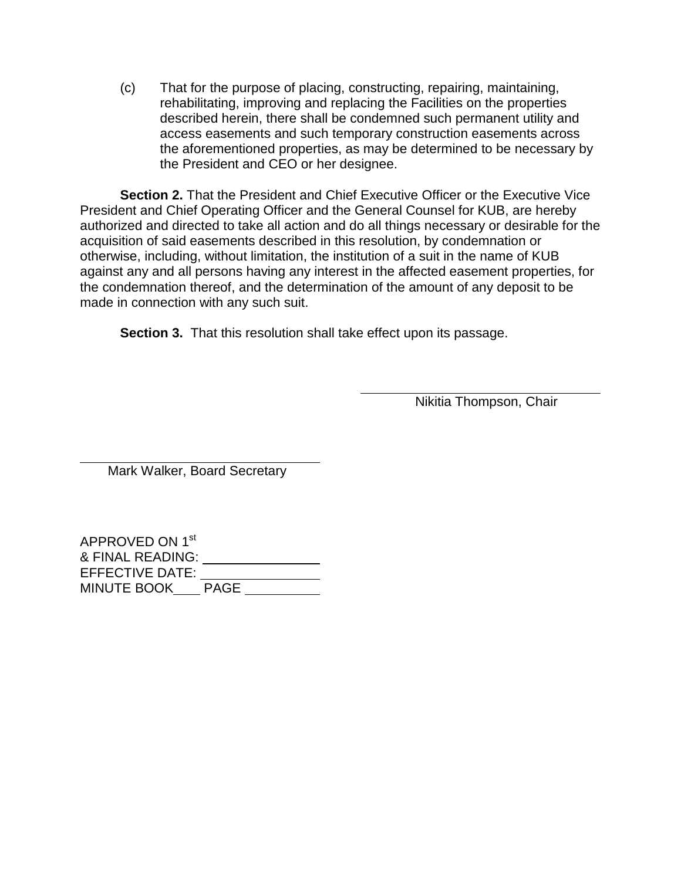(c) That for the purpose of placing, constructing, repairing, maintaining, rehabilitating, improving and replacing the Facilities on the properties described herein, there shall be condemned such permanent utility and access easements and such temporary construction easements across the aforementioned properties, as may be determined to be necessary by the President and CEO or her designee.

**Section 2.** That the President and Chief Executive Officer or the Executive Vice President and Chief Operating Officer and the General Counsel for KUB, are hereby authorized and directed to take all action and do all things necessary or desirable for the acquisition of said easements described in this resolution, by condemnation or otherwise, including, without limitation, the institution of a suit in the name of KUB against any and all persons having any interest in the affected easement properties, for the condemnation thereof, and the determination of the amount of any deposit to be made in connection with any such suit.

l

**Section 3.** That this resolution shall take effect upon its passage.

Nikitia Thompson, Chair

Mark Walker, Board Secretary

| APPROVED ON 1 <sup>st</sup> |             |  |
|-----------------------------|-------------|--|
| & FINAL READING:            |             |  |
| <b>EFFECTIVE DATE:</b>      |             |  |
| <b>MINUTE BOOK</b>          | <b>PAGE</b> |  |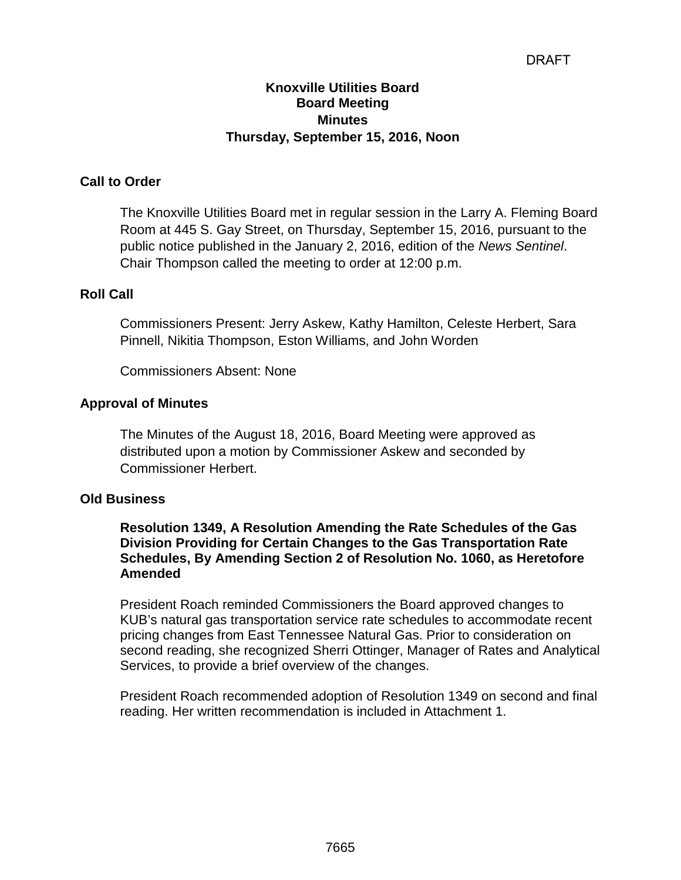# DRAFT

# **Knoxville Utilities Board Board Meeting Minutes Thursday, September 15, 2016, Noon**

# **Call to Order**

The Knoxville Utilities Board met in regular session in the Larry A. Fleming Board Room at 445 S. Gay Street, on Thursday, September 15, 2016, pursuant to the public notice published in the January 2, 2016, edition of the *News Sentinel*. Chair Thompson called the meeting to order at 12:00 p.m.

### **Roll Call**

Commissioners Present: Jerry Askew, Kathy Hamilton, Celeste Herbert, Sara Pinnell, Nikitia Thompson, Eston Williams, and John Worden

Commissioners Absent: None

### **Approval of Minutes**

The Minutes of the August 18, 2016, Board Meeting were approved as distributed upon a motion by Commissioner Askew and seconded by Commissioner Herbert.

#### **Old Business**

## **Resolution 1349, A Resolution Amending the Rate Schedules of the Gas Division Providing for Certain Changes to the Gas Transportation Rate Schedules, By Amending Section 2 of Resolution No. 1060, as Heretofore Amended**

President Roach reminded Commissioners the Board approved changes to KUB's natural gas transportation service rate schedules to accommodate recent pricing changes from East Tennessee Natural Gas. Prior to consideration on second reading, she recognized Sherri Ottinger, Manager of Rates and Analytical Services, to provide a brief overview of the changes.

President Roach recommended adoption of Resolution 1349 on second and final reading. Her written recommendation is included in Attachment 1.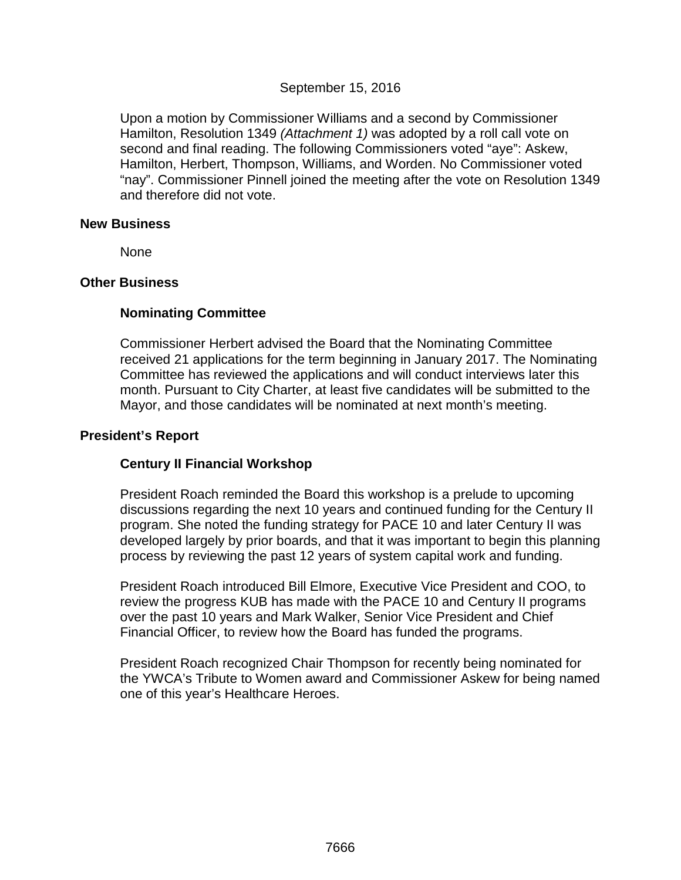# September 15, 2016

Upon a motion by Commissioner Williams and a second by Commissioner Hamilton, Resolution 1349 *(Attachment 1)* was adopted by a roll call vote on second and final reading. The following Commissioners voted "aye": Askew, Hamilton, Herbert, Thompson, Williams, and Worden. No Commissioner voted "nay". Commissioner Pinnell joined the meeting after the vote on Resolution 1349 and therefore did not vote.

#### **New Business**

None

### **Other Business**

# **Nominating Committee**

Commissioner Herbert advised the Board that the Nominating Committee received 21 applications for the term beginning in January 2017. The Nominating Committee has reviewed the applications and will conduct interviews later this month. Pursuant to City Charter, at least five candidates will be submitted to the Mayor, and those candidates will be nominated at next month's meeting.

## **President's Report**

# **Century II Financial Workshop**

President Roach reminded the Board this workshop is a prelude to upcoming discussions regarding the next 10 years and continued funding for the Century II program. She noted the funding strategy for PACE 10 and later Century II was developed largely by prior boards, and that it was important to begin this planning process by reviewing the past 12 years of system capital work and funding.

President Roach introduced Bill Elmore, Executive Vice President and COO, to review the progress KUB has made with the PACE 10 and Century II programs over the past 10 years and Mark Walker, Senior Vice President and Chief Financial Officer, to review how the Board has funded the programs.

President Roach recognized Chair Thompson for recently being nominated for the YWCA's Tribute to Women award and Commissioner Askew for being named one of this year's Healthcare Heroes.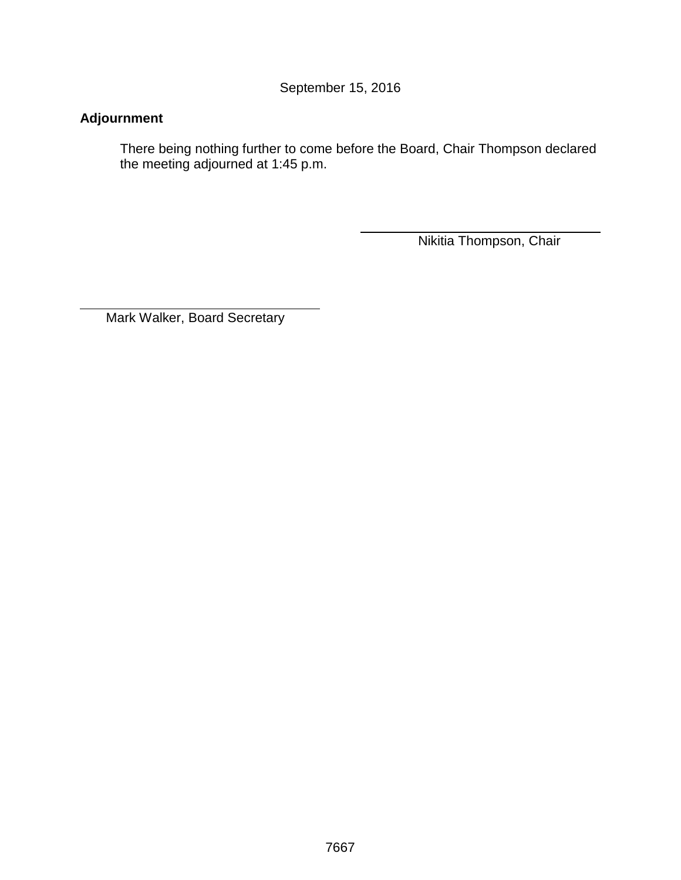September 15, 2016

# **Adjournment**

 $\overline{a}$ 

There being nothing further to come before the Board, Chair Thompson declared the meeting adjourned at 1:45 p.m.

Nikitia Thompson, Chair

Mark Walker, Board Secretary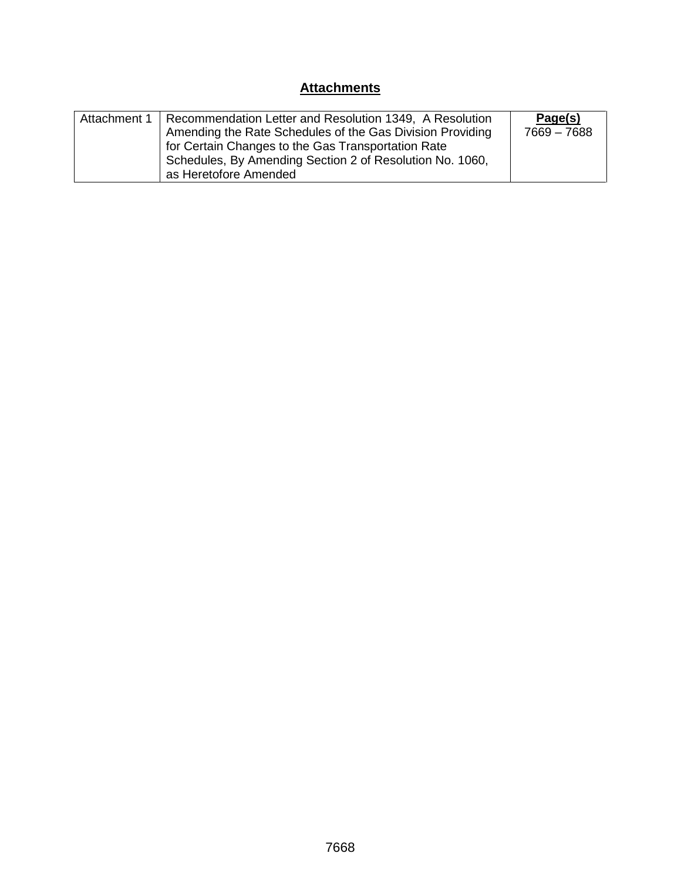# **Attachments**

| Attachment 1   Recommendation Letter and Resolution 1349, A Resolution | Page(s)     |
|------------------------------------------------------------------------|-------------|
| Amending the Rate Schedules of the Gas Division Providing              | 7669 - 7688 |
| for Certain Changes to the Gas Transportation Rate                     |             |
| Schedules, By Amending Section 2 of Resolution No. 1060,               |             |
| as Heretofore Amended                                                  |             |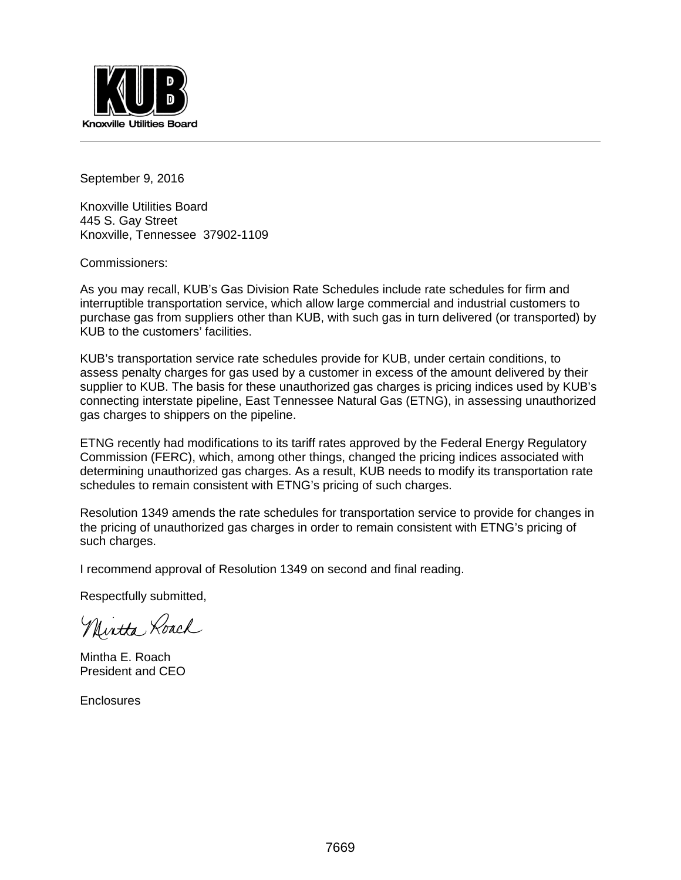

September 9, 2016

Knoxville Utilities Board 445 S. Gay Street Knoxville, Tennessee 37902-1109

Commissioners:

As you may recall, KUB's Gas Division Rate Schedules include rate schedules for firm and interruptible transportation service, which allow large commercial and industrial customers to purchase gas from suppliers other than KUB, with such gas in turn delivered (or transported) by KUB to the customers' facilities.

KUB's transportation service rate schedules provide for KUB, under certain conditions, to assess penalty charges for gas used by a customer in excess of the amount delivered by their supplier to KUB. The basis for these unauthorized gas charges is pricing indices used by KUB's connecting interstate pipeline, East Tennessee Natural Gas (ETNG), in assessing unauthorized gas charges to shippers on the pipeline.

ETNG recently had modifications to its tariff rates approved by the Federal Energy Regulatory Commission (FERC), which, among other things, changed the pricing indices associated with determining unauthorized gas charges. As a result, KUB needs to modify its transportation rate schedules to remain consistent with ETNG's pricing of such charges.

Resolution 1349 amends the rate schedules for transportation service to provide for changes in the pricing of unauthorized gas charges in order to remain consistent with ETNG's pricing of such charges.

I recommend approval of Resolution 1349 on second and final reading.

Respectfully submitted,

Nintha Roach

Mintha E. Roach President and CEO

**Enclosures**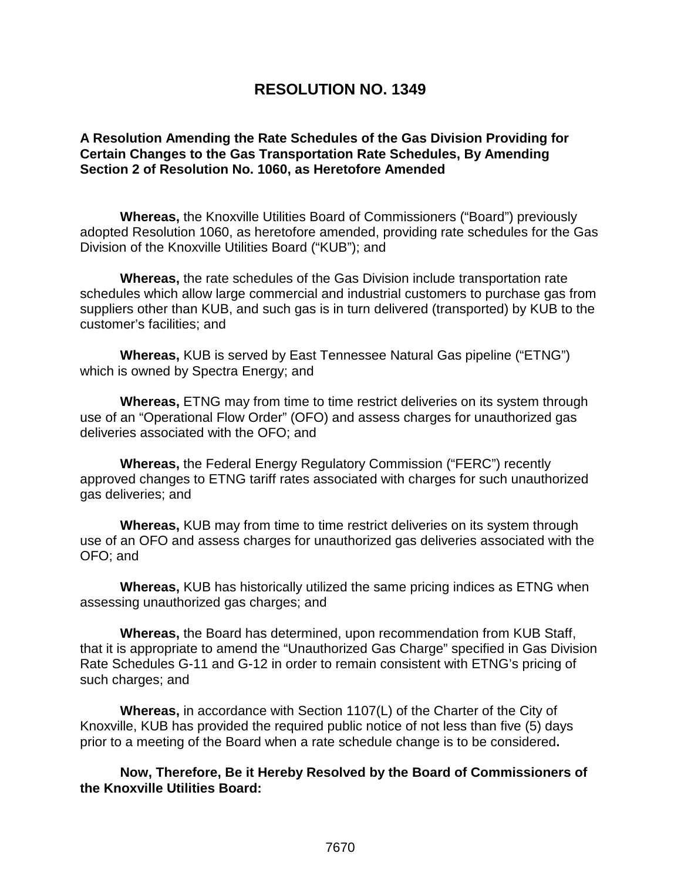# **RESOLUTION NO. 1349**

# **A Resolution Amending the Rate Schedules of the Gas Division Providing for Certain Changes to the Gas Transportation Rate Schedules, By Amending Section 2 of Resolution No. 1060, as Heretofore Amended**

**Whereas,** the Knoxville Utilities Board of Commissioners ("Board") previously adopted Resolution 1060, as heretofore amended, providing rate schedules for the Gas Division of the Knoxville Utilities Board ("KUB"); and

**Whereas,** the rate schedules of the Gas Division include transportation rate schedules which allow large commercial and industrial customers to purchase gas from suppliers other than KUB, and such gas is in turn delivered (transported) by KUB to the customer's facilities; and

**Whereas,** KUB is served by East Tennessee Natural Gas pipeline ("ETNG") which is owned by Spectra Energy; and

**Whereas,** ETNG may from time to time restrict deliveries on its system through use of an "Operational Flow Order" (OFO) and assess charges for unauthorized gas deliveries associated with the OFO; and

**Whereas,** the Federal Energy Regulatory Commission ("FERC") recently approved changes to ETNG tariff rates associated with charges for such unauthorized gas deliveries; and

**Whereas,** KUB may from time to time restrict deliveries on its system through use of an OFO and assess charges for unauthorized gas deliveries associated with the OFO; and

**Whereas,** KUB has historically utilized the same pricing indices as ETNG when assessing unauthorized gas charges; and

**Whereas,** the Board has determined, upon recommendation from KUB Staff, that it is appropriate to amend the "Unauthorized Gas Charge" specified in Gas Division Rate Schedules G-11 and G-12 in order to remain consistent with ETNG's pricing of such charges; and

**Whereas,** in accordance with Section 1107(L) of the Charter of the City of Knoxville, KUB has provided the required public notice of not less than five (5) days prior to a meeting of the Board when a rate schedule change is to be considered**.**

**Now, Therefore, Be it Hereby Resolved by the Board of Commissioners of the Knoxville Utilities Board:**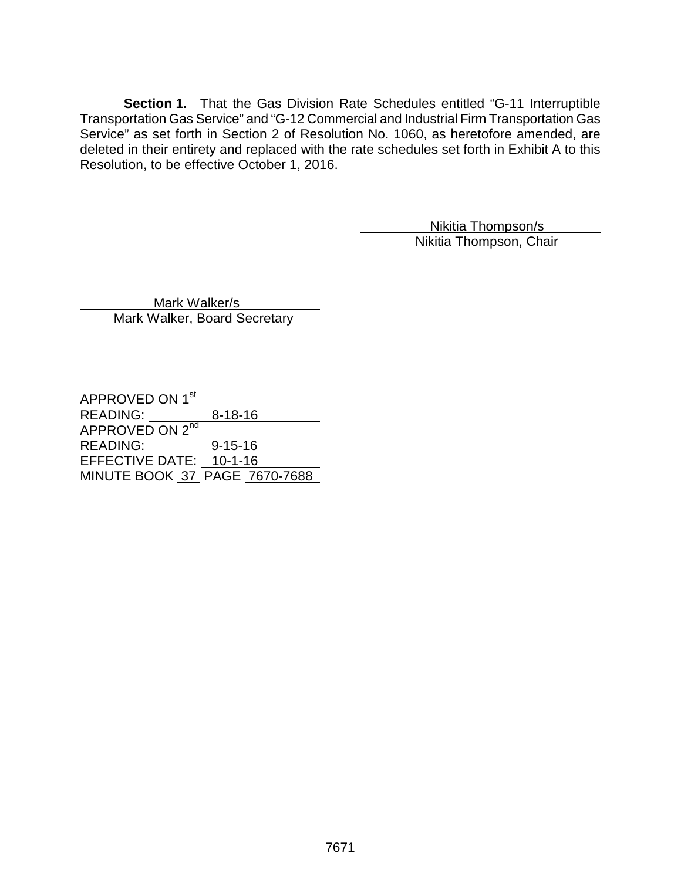**Section 1.** That the Gas Division Rate Schedules entitled "G-11 Interruptible Transportation Gas Service" and "G-12 Commercial and Industrial Firm Transportation Gas Service" as set forth in Section 2 of Resolution No. 1060, as heretofore amended, are deleted in their entirety and replaced with the rate schedules set forth in Exhibit A to this Resolution, to be effective October 1, 2016.

> Nikitia Thompson/s Nikitia Thompson, Chair

 Mark Walker/s Mark Walker, Board Secretary

APPROVED ON 1<sup>st</sup> READING: 8-18-16 APPROVED ON 2<sup>nd</sup> READING: 9-15-16 EFFECTIVE DATE: 10-1-16 MINUTE BOOK 37 PAGE 7670-7688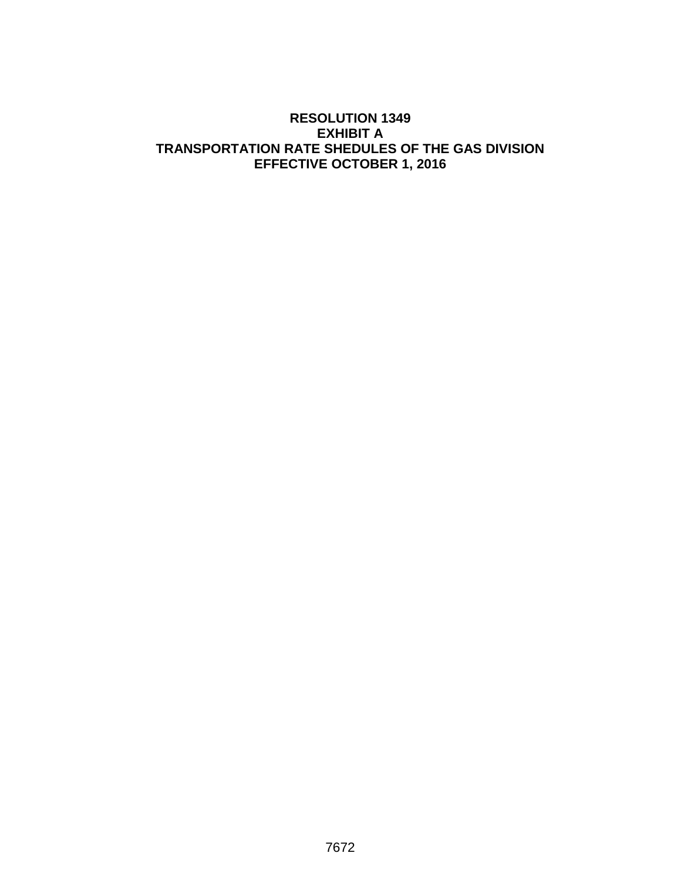# **RESOLUTION 1349 EXHIBIT A TRANSPORTATION RATE SHEDULES OF THE GAS DIVISION EFFECTIVE OCTOBER 1, 2016**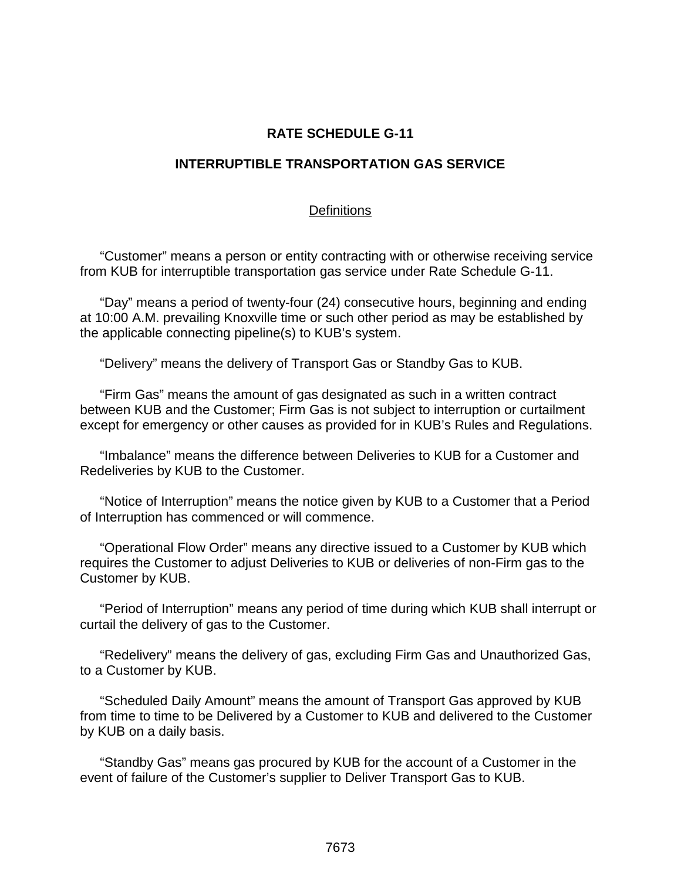## **RATE SCHEDULE G-11**

#### **INTERRUPTIBLE TRANSPORTATION GAS SERVICE**

#### **Definitions**

"Customer" means a person or entity contracting with or otherwise receiving service from KUB for interruptible transportation gas service under Rate Schedule G-11.

"Day" means a period of twenty-four (24) consecutive hours, beginning and ending at 10:00 A.M. prevailing Knoxville time or such other period as may be established by the applicable connecting pipeline(s) to KUB's system.

"Delivery" means the delivery of Transport Gas or Standby Gas to KUB.

"Firm Gas" means the amount of gas designated as such in a written contract between KUB and the Customer; Firm Gas is not subject to interruption or curtailment except for emergency or other causes as provided for in KUB's Rules and Regulations.

"Imbalance" means the difference between Deliveries to KUB for a Customer and Redeliveries by KUB to the Customer.

"Notice of Interruption" means the notice given by KUB to a Customer that a Period of Interruption has commenced or will commence.

"Operational Flow Order" means any directive issued to a Customer by KUB which requires the Customer to adjust Deliveries to KUB or deliveries of non-Firm gas to the Customer by KUB.

"Period of Interruption" means any period of time during which KUB shall interrupt or curtail the delivery of gas to the Customer.

"Redelivery" means the delivery of gas, excluding Firm Gas and Unauthorized Gas, to a Customer by KUB.

"Scheduled Daily Amount" means the amount of Transport Gas approved by KUB from time to time to be Delivered by a Customer to KUB and delivered to the Customer by KUB on a daily basis.

"Standby Gas" means gas procured by KUB for the account of a Customer in the event of failure of the Customer's supplier to Deliver Transport Gas to KUB.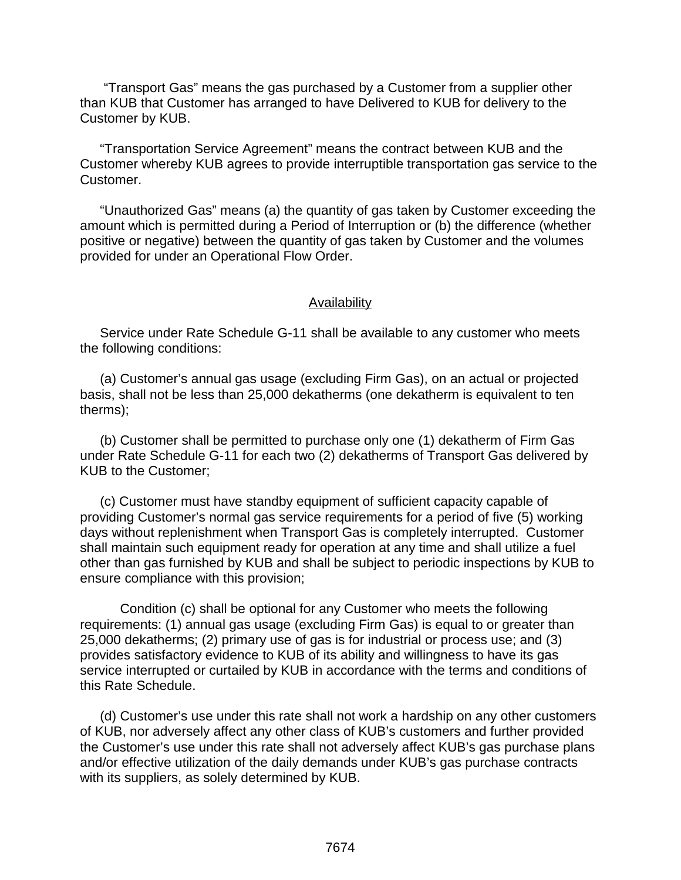"Transport Gas" means the gas purchased by a Customer from a supplier other than KUB that Customer has arranged to have Delivered to KUB for delivery to the Customer by KUB.

"Transportation Service Agreement" means the contract between KUB and the Customer whereby KUB agrees to provide interruptible transportation gas service to the Customer.

"Unauthorized Gas" means (a) the quantity of gas taken by Customer exceeding the amount which is permitted during a Period of Interruption or (b) the difference (whether positive or negative) between the quantity of gas taken by Customer and the volumes provided for under an Operational Flow Order.

#### Availability

Service under Rate Schedule G-11 shall be available to any customer who meets the following conditions:

(a) Customer's annual gas usage (excluding Firm Gas), on an actual or projected basis, shall not be less than 25,000 dekatherms (one dekatherm is equivalent to ten therms);

(b) Customer shall be permitted to purchase only one (1) dekatherm of Firm Gas under Rate Schedule G-11 for each two (2) dekatherms of Transport Gas delivered by KUB to the Customer;

(c) Customer must have standby equipment of sufficient capacity capable of providing Customer's normal gas service requirements for a period of five (5) working days without replenishment when Transport Gas is completely interrupted. Customer shall maintain such equipment ready for operation at any time and shall utilize a fuel other than gas furnished by KUB and shall be subject to periodic inspections by KUB to ensure compliance with this provision;

Condition (c) shall be optional for any Customer who meets the following requirements: (1) annual gas usage (excluding Firm Gas) is equal to or greater than 25,000 dekatherms; (2) primary use of gas is for industrial or process use; and (3) provides satisfactory evidence to KUB of its ability and willingness to have its gas service interrupted or curtailed by KUB in accordance with the terms and conditions of this Rate Schedule.

(d) Customer's use under this rate shall not work a hardship on any other customers of KUB, nor adversely affect any other class of KUB's customers and further provided the Customer's use under this rate shall not adversely affect KUB's gas purchase plans and/or effective utilization of the daily demands under KUB's gas purchase contracts with its suppliers, as solely determined by KUB.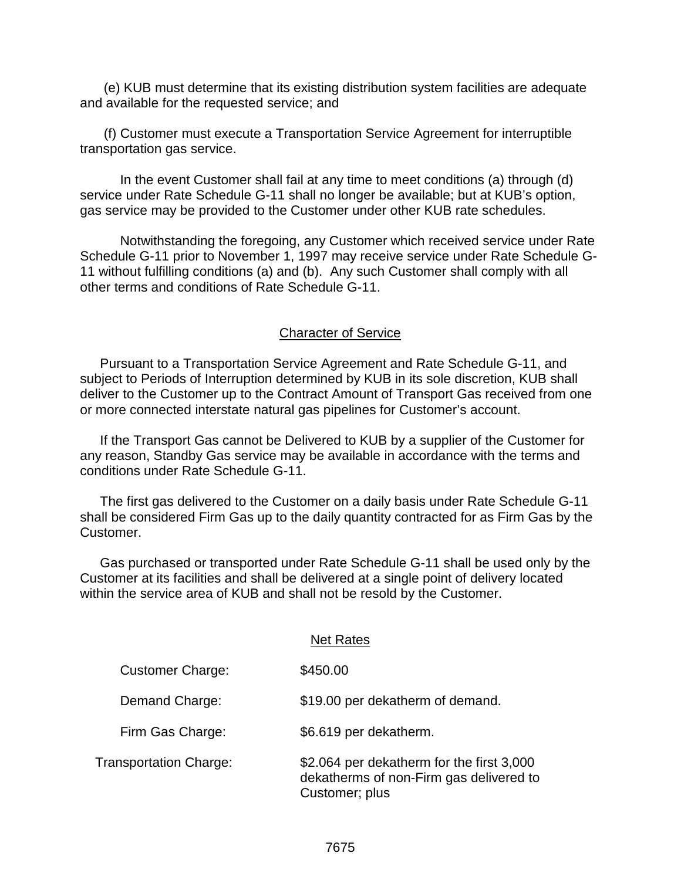(e) KUB must determine that its existing distribution system facilities are adequate and available for the requested service; and

(f) Customer must execute a Transportation Service Agreement for interruptible transportation gas service.

In the event Customer shall fail at any time to meet conditions (a) through (d) service under Rate Schedule G-11 shall no longer be available; but at KUB's option, gas service may be provided to the Customer under other KUB rate schedules.

Notwithstanding the foregoing, any Customer which received service under Rate Schedule G-11 prior to November 1, 1997 may receive service under Rate Schedule G-11 without fulfilling conditions (a) and (b). Any such Customer shall comply with all other terms and conditions of Rate Schedule G-11.

### Character of Service

Pursuant to a Transportation Service Agreement and Rate Schedule G-11, and subject to Periods of Interruption determined by KUB in its sole discretion, KUB shall deliver to the Customer up to the Contract Amount of Transport Gas received from one or more connected interstate natural gas pipelines for Customer's account.

If the Transport Gas cannot be Delivered to KUB by a supplier of the Customer for any reason, Standby Gas service may be available in accordance with the terms and conditions under Rate Schedule G-11.

The first gas delivered to the Customer on a daily basis under Rate Schedule G-11 shall be considered Firm Gas up to the daily quantity contracted for as Firm Gas by the Customer.

Gas purchased or transported under Rate Schedule G-11 shall be used only by the Customer at its facilities and shall be delivered at a single point of delivery located within the service area of KUB and shall not be resold by the Customer.

|                         | <b>Net Rates</b>                                                                                       |
|-------------------------|--------------------------------------------------------------------------------------------------------|
| <b>Customer Charge:</b> | \$450.00                                                                                               |
| Demand Charge:          | \$19.00 per dekatherm of demand.                                                                       |
| Firm Gas Charge:        | \$6.619 per dekatherm.                                                                                 |
| Transportation Charge:  | \$2.064 per dekatherm for the first 3,000<br>dekatherms of non-Firm gas delivered to<br>Customer; plus |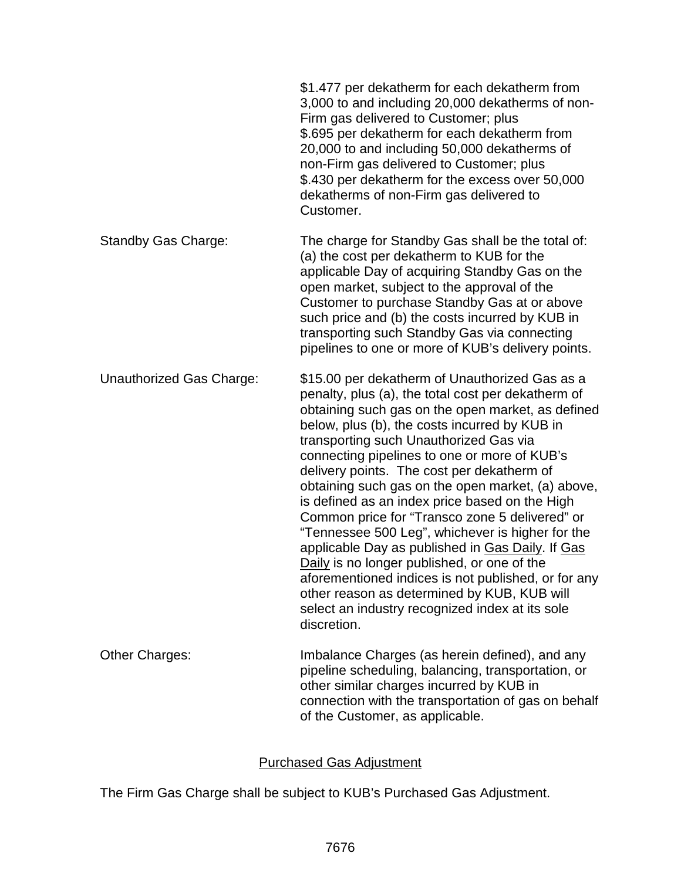|                                 | \$1.477 per dekatherm for each dekatherm from<br>3,000 to and including 20,000 dekatherms of non-<br>Firm gas delivered to Customer; plus<br>\$.695 per dekatherm for each dekatherm from<br>20,000 to and including 50,000 dekatherms of<br>non-Firm gas delivered to Customer; plus<br>\$.430 per dekatherm for the excess over 50,000<br>dekatherms of non-Firm gas delivered to<br>Customer.                                                                                                                                                                                                                                                                                                                                                                                                                                           |
|---------------------------------|--------------------------------------------------------------------------------------------------------------------------------------------------------------------------------------------------------------------------------------------------------------------------------------------------------------------------------------------------------------------------------------------------------------------------------------------------------------------------------------------------------------------------------------------------------------------------------------------------------------------------------------------------------------------------------------------------------------------------------------------------------------------------------------------------------------------------------------------|
| <b>Standby Gas Charge:</b>      | The charge for Standby Gas shall be the total of:<br>(a) the cost per dekatherm to KUB for the<br>applicable Day of acquiring Standby Gas on the<br>open market, subject to the approval of the<br>Customer to purchase Standby Gas at or above<br>such price and (b) the costs incurred by KUB in<br>transporting such Standby Gas via connecting<br>pipelines to one or more of KUB's delivery points.                                                                                                                                                                                                                                                                                                                                                                                                                                   |
| <b>Unauthorized Gas Charge:</b> | \$15.00 per dekatherm of Unauthorized Gas as a<br>penalty, plus (a), the total cost per dekatherm of<br>obtaining such gas on the open market, as defined<br>below, plus (b), the costs incurred by KUB in<br>transporting such Unauthorized Gas via<br>connecting pipelines to one or more of KUB's<br>delivery points. The cost per dekatherm of<br>obtaining such gas on the open market, (a) above,<br>is defined as an index price based on the High<br>Common price for "Transco zone 5 delivered" or<br>"Tennessee 500 Leg", whichever is higher for the<br>applicable Day as published in Gas Daily. If Gas<br>Daily is no longer published, or one of the<br>aforementioned indices is not published, or for any<br>other reason as determined by KUB, KUB will<br>select an industry recognized index at its sole<br>discretion. |
| <b>Other Charges:</b>           | Imbalance Charges (as herein defined), and any<br>pipeline scheduling, balancing, transportation, or<br>other similar charges incurred by KUB in<br>connection with the transportation of gas on behalf<br>of the Customer, as applicable.                                                                                                                                                                                                                                                                                                                                                                                                                                                                                                                                                                                                 |

# Purchased Gas Adjustment

The Firm Gas Charge shall be subject to KUB's Purchased Gas Adjustment.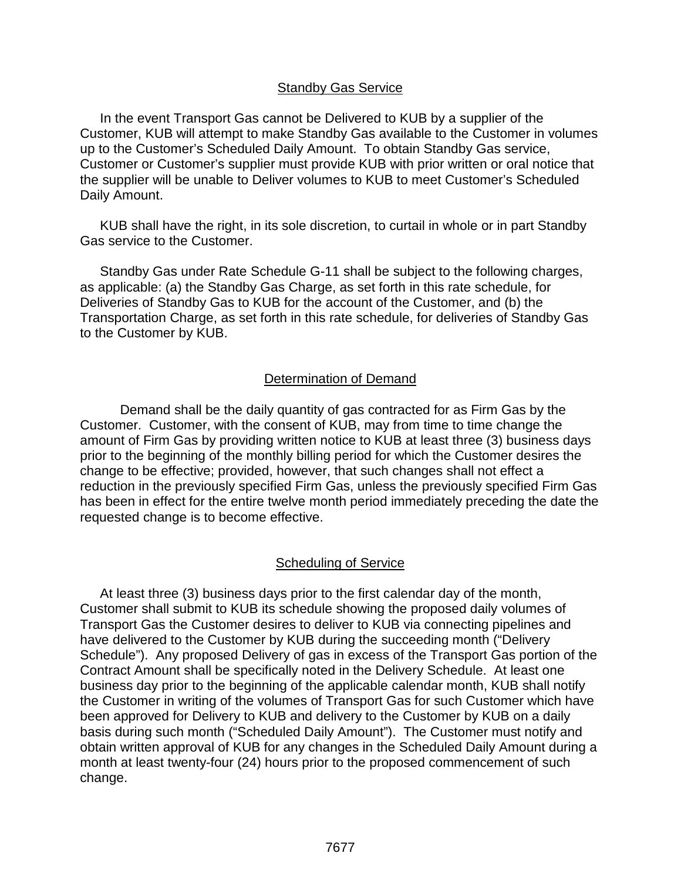### Standby Gas Service

In the event Transport Gas cannot be Delivered to KUB by a supplier of the Customer, KUB will attempt to make Standby Gas available to the Customer in volumes up to the Customer's Scheduled Daily Amount. To obtain Standby Gas service, Customer or Customer's supplier must provide KUB with prior written or oral notice that the supplier will be unable to Deliver volumes to KUB to meet Customer's Scheduled Daily Amount.

KUB shall have the right, in its sole discretion, to curtail in whole or in part Standby Gas service to the Customer.

Standby Gas under Rate Schedule G-11 shall be subject to the following charges, as applicable: (a) the Standby Gas Charge, as set forth in this rate schedule, for Deliveries of Standby Gas to KUB for the account of the Customer, and (b) the Transportation Charge, as set forth in this rate schedule, for deliveries of Standby Gas to the Customer by KUB.

# Determination of Demand

Demand shall be the daily quantity of gas contracted for as Firm Gas by the Customer. Customer, with the consent of KUB, may from time to time change the amount of Firm Gas by providing written notice to KUB at least three (3) business days prior to the beginning of the monthly billing period for which the Customer desires the change to be effective; provided, however, that such changes shall not effect a reduction in the previously specified Firm Gas, unless the previously specified Firm Gas has been in effect for the entire twelve month period immediately preceding the date the requested change is to become effective.

# Scheduling of Service

At least three (3) business days prior to the first calendar day of the month, Customer shall submit to KUB its schedule showing the proposed daily volumes of Transport Gas the Customer desires to deliver to KUB via connecting pipelines and have delivered to the Customer by KUB during the succeeding month ("Delivery Schedule"). Any proposed Delivery of gas in excess of the Transport Gas portion of the Contract Amount shall be specifically noted in the Delivery Schedule. At least one business day prior to the beginning of the applicable calendar month, KUB shall notify the Customer in writing of the volumes of Transport Gas for such Customer which have been approved for Delivery to KUB and delivery to the Customer by KUB on a daily basis during such month ("Scheduled Daily Amount"). The Customer must notify and obtain written approval of KUB for any changes in the Scheduled Daily Amount during a month at least twenty-four (24) hours prior to the proposed commencement of such change.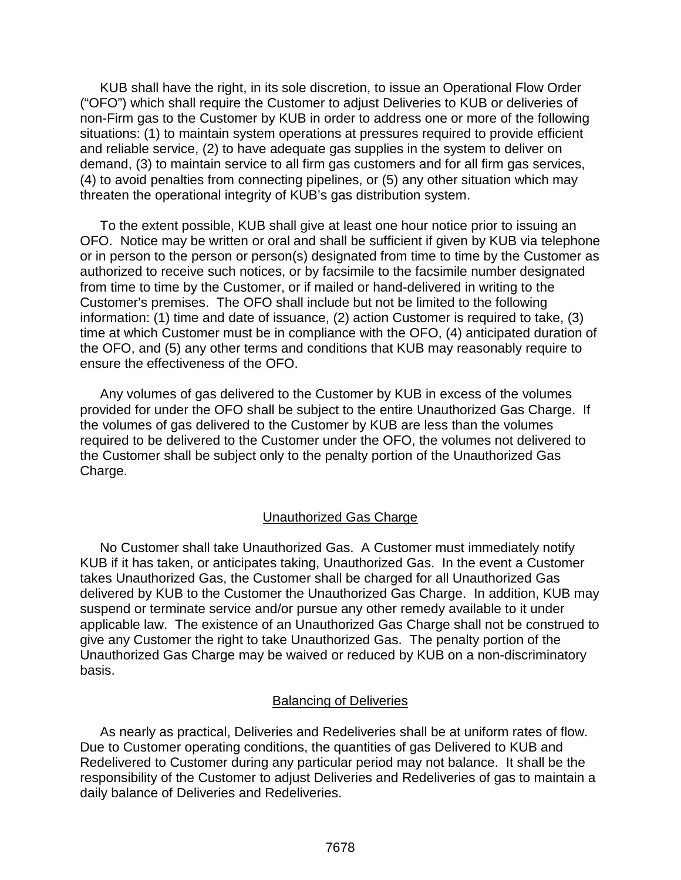KUB shall have the right, in its sole discretion, to issue an Operational Flow Order ("OFO") which shall require the Customer to adjust Deliveries to KUB or deliveries of non-Firm gas to the Customer by KUB in order to address one or more of the following situations: (1) to maintain system operations at pressures required to provide efficient and reliable service, (2) to have adequate gas supplies in the system to deliver on demand, (3) to maintain service to all firm gas customers and for all firm gas services, (4) to avoid penalties from connecting pipelines, or (5) any other situation which may threaten the operational integrity of KUB's gas distribution system.

To the extent possible, KUB shall give at least one hour notice prior to issuing an OFO. Notice may be written or oral and shall be sufficient if given by KUB via telephone or in person to the person or person(s) designated from time to time by the Customer as authorized to receive such notices, or by facsimile to the facsimile number designated from time to time by the Customer, or if mailed or hand-delivered in writing to the Customer's premises. The OFO shall include but not be limited to the following information: (1) time and date of issuance, (2) action Customer is required to take, (3) time at which Customer must be in compliance with the OFO, (4) anticipated duration of the OFO, and (5) any other terms and conditions that KUB may reasonably require to ensure the effectiveness of the OFO.

Any volumes of gas delivered to the Customer by KUB in excess of the volumes provided for under the OFO shall be subject to the entire Unauthorized Gas Charge. If the volumes of gas delivered to the Customer by KUB are less than the volumes required to be delivered to the Customer under the OFO, the volumes not delivered to the Customer shall be subject only to the penalty portion of the Unauthorized Gas Charge.

# Unauthorized Gas Charge

No Customer shall take Unauthorized Gas. A Customer must immediately notify KUB if it has taken, or anticipates taking, Unauthorized Gas. In the event a Customer takes Unauthorized Gas, the Customer shall be charged for all Unauthorized Gas delivered by KUB to the Customer the Unauthorized Gas Charge. In addition, KUB may suspend or terminate service and/or pursue any other remedy available to it under applicable law. The existence of an Unauthorized Gas Charge shall not be construed to give any Customer the right to take Unauthorized Gas. The penalty portion of the Unauthorized Gas Charge may be waived or reduced by KUB on a non-discriminatory basis.

# Balancing of Deliveries

As nearly as practical, Deliveries and Redeliveries shall be at uniform rates of flow. Due to Customer operating conditions, the quantities of gas Delivered to KUB and Redelivered to Customer during any particular period may not balance. It shall be the responsibility of the Customer to adjust Deliveries and Redeliveries of gas to maintain a daily balance of Deliveries and Redeliveries.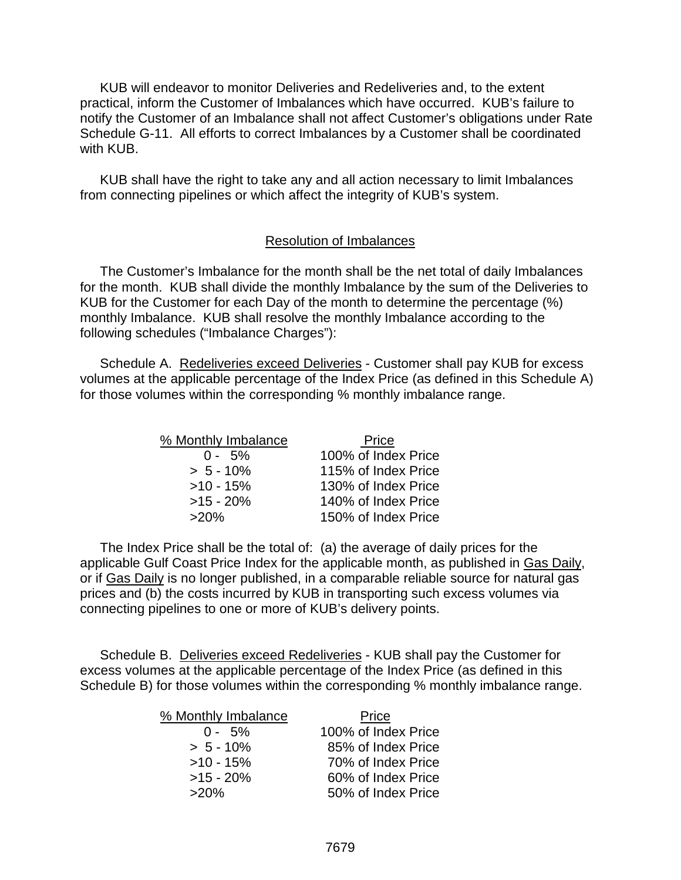KUB will endeavor to monitor Deliveries and Redeliveries and, to the extent practical, inform the Customer of Imbalances which have occurred. KUB's failure to notify the Customer of an Imbalance shall not affect Customer's obligations under Rate Schedule G-11. All efforts to correct Imbalances by a Customer shall be coordinated with **KUB**.

KUB shall have the right to take any and all action necessary to limit Imbalances from connecting pipelines or which affect the integrity of KUB's system.

#### Resolution of Imbalances

The Customer's Imbalance for the month shall be the net total of daily Imbalances for the month. KUB shall divide the monthly Imbalance by the sum of the Deliveries to KUB for the Customer for each Day of the month to determine the percentage (%) monthly Imbalance. KUB shall resolve the monthly Imbalance according to the following schedules ("Imbalance Charges"):

Schedule A. Redeliveries exceed Deliveries - Customer shall pay KUB for excess volumes at the applicable percentage of the Index Price (as defined in this Schedule A) for those volumes within the corresponding % monthly imbalance range.

| % Monthly Imbalance | Price               |
|---------------------|---------------------|
| $0 - 5\%$           | 100% of Index Price |
| $> 5 - 10%$         | 115% of Index Price |
| $>10 - 15%$         | 130% of Index Price |
| $>15 - 20%$         | 140% of Index Price |
| $>20\%$             | 150% of Index Price |

The Index Price shall be the total of: (a) the average of daily prices for the applicable Gulf Coast Price Index for the applicable month, as published in Gas Daily, or if Gas Daily is no longer published, in a comparable reliable source for natural gas prices and (b) the costs incurred by KUB in transporting such excess volumes via connecting pipelines to one or more of KUB's delivery points.

Schedule B. Deliveries exceed Redeliveries - KUB shall pay the Customer for excess volumes at the applicable percentage of the Index Price (as defined in this Schedule B) for those volumes within the corresponding % monthly imbalance range.

| % Monthly Imbalance | Price               |
|---------------------|---------------------|
| $0 - 5\%$           | 100% of Index Price |
| $> 5 - 10\%$        | 85% of Index Price  |
| $>10 - 15%$         | 70% of Index Price  |
| $>15 - 20\%$        | 60% of Index Price  |
| $>20\%$             | 50% of Index Price  |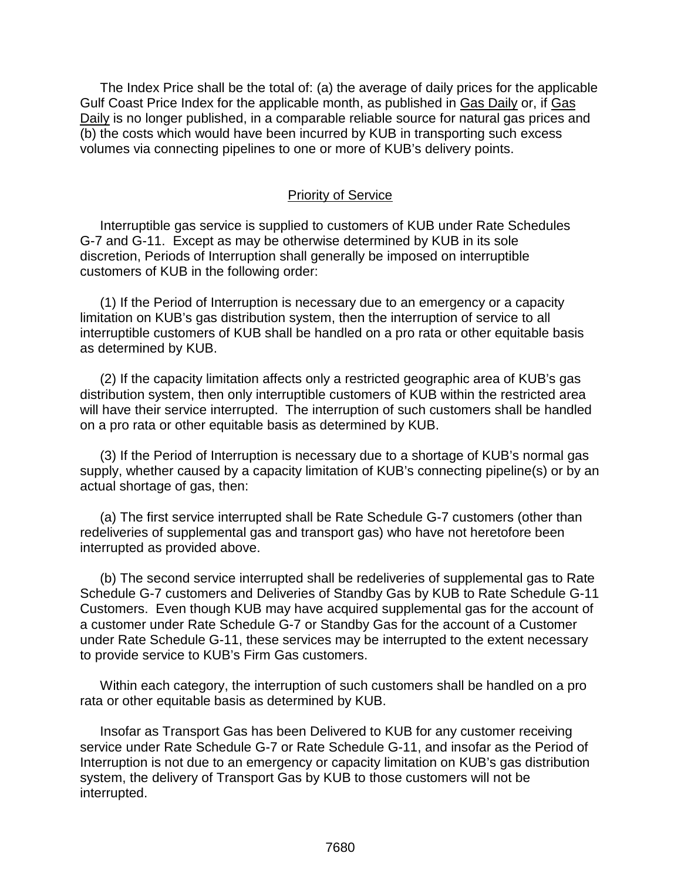The Index Price shall be the total of: (a) the average of daily prices for the applicable Gulf Coast Price Index for the applicable month, as published in Gas Daily or, if Gas Daily is no longer published, in a comparable reliable source for natural gas prices and (b) the costs which would have been incurred by KUB in transporting such excess volumes via connecting pipelines to one or more of KUB's delivery points.

#### Priority of Service

Interruptible gas service is supplied to customers of KUB under Rate Schedules G-7 and G-11. Except as may be otherwise determined by KUB in its sole discretion, Periods of Interruption shall generally be imposed on interruptible customers of KUB in the following order:

(1) If the Period of Interruption is necessary due to an emergency or a capacity limitation on KUB's gas distribution system, then the interruption of service to all interruptible customers of KUB shall be handled on a pro rata or other equitable basis as determined by KUB.

(2) If the capacity limitation affects only a restricted geographic area of KUB's gas distribution system, then only interruptible customers of KUB within the restricted area will have their service interrupted. The interruption of such customers shall be handled on a pro rata or other equitable basis as determined by KUB.

(3) If the Period of Interruption is necessary due to a shortage of KUB's normal gas supply, whether caused by a capacity limitation of KUB's connecting pipeline(s) or by an actual shortage of gas, then:

(a) The first service interrupted shall be Rate Schedule G-7 customers (other than redeliveries of supplemental gas and transport gas) who have not heretofore been interrupted as provided above.

(b) The second service interrupted shall be redeliveries of supplemental gas to Rate Schedule G-7 customers and Deliveries of Standby Gas by KUB to Rate Schedule G-11 Customers. Even though KUB may have acquired supplemental gas for the account of a customer under Rate Schedule G-7 or Standby Gas for the account of a Customer under Rate Schedule G-11, these services may be interrupted to the extent necessary to provide service to KUB's Firm Gas customers.

Within each category, the interruption of such customers shall be handled on a pro rata or other equitable basis as determined by KUB.

Insofar as Transport Gas has been Delivered to KUB for any customer receiving service under Rate Schedule G-7 or Rate Schedule G-11, and insofar as the Period of Interruption is not due to an emergency or capacity limitation on KUB's gas distribution system, the delivery of Transport Gas by KUB to those customers will not be interrupted.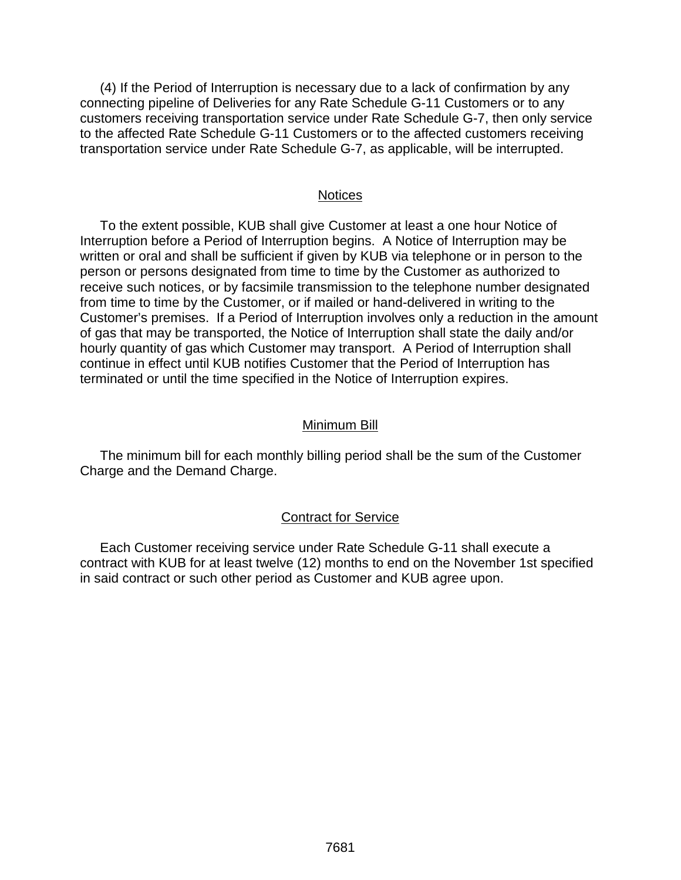(4) If the Period of Interruption is necessary due to a lack of confirmation by any connecting pipeline of Deliveries for any Rate Schedule G-11 Customers or to any customers receiving transportation service under Rate Schedule G-7, then only service to the affected Rate Schedule G-11 Customers or to the affected customers receiving transportation service under Rate Schedule G-7, as applicable, will be interrupted.

#### **Notices**

To the extent possible, KUB shall give Customer at least a one hour Notice of Interruption before a Period of Interruption begins. A Notice of Interruption may be written or oral and shall be sufficient if given by KUB via telephone or in person to the person or persons designated from time to time by the Customer as authorized to receive such notices, or by facsimile transmission to the telephone number designated from time to time by the Customer, or if mailed or hand-delivered in writing to the Customer's premises. If a Period of Interruption involves only a reduction in the amount of gas that may be transported, the Notice of Interruption shall state the daily and/or hourly quantity of gas which Customer may transport. A Period of Interruption shall continue in effect until KUB notifies Customer that the Period of Interruption has terminated or until the time specified in the Notice of Interruption expires.

#### Minimum Bill

The minimum bill for each monthly billing period shall be the sum of the Customer Charge and the Demand Charge.

#### Contract for Service

Each Customer receiving service under Rate Schedule G-11 shall execute a contract with KUB for at least twelve (12) months to end on the November 1st specified in said contract or such other period as Customer and KUB agree upon.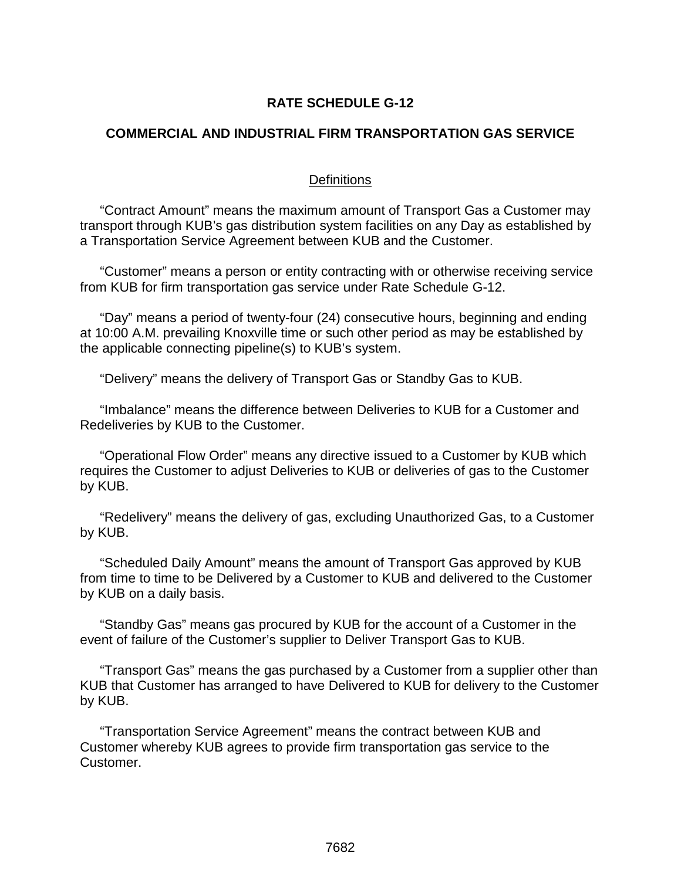# **RATE SCHEDULE G-12**

### **COMMERCIAL AND INDUSTRIAL FIRM TRANSPORTATION GAS SERVICE**

#### **Definitions**

"Contract Amount" means the maximum amount of Transport Gas a Customer may transport through KUB's gas distribution system facilities on any Day as established by a Transportation Service Agreement between KUB and the Customer.

"Customer" means a person or entity contracting with or otherwise receiving service from KUB for firm transportation gas service under Rate Schedule G-12.

"Day" means a period of twenty-four (24) consecutive hours, beginning and ending at 10:00 A.M. prevailing Knoxville time or such other period as may be established by the applicable connecting pipeline(s) to KUB's system.

"Delivery" means the delivery of Transport Gas or Standby Gas to KUB.

"Imbalance" means the difference between Deliveries to KUB for a Customer and Redeliveries by KUB to the Customer.

"Operational Flow Order" means any directive issued to a Customer by KUB which requires the Customer to adjust Deliveries to KUB or deliveries of gas to the Customer by KUB.

"Redelivery" means the delivery of gas, excluding Unauthorized Gas, to a Customer by KUB.

"Scheduled Daily Amount" means the amount of Transport Gas approved by KUB from time to time to be Delivered by a Customer to KUB and delivered to the Customer by KUB on a daily basis.

"Standby Gas" means gas procured by KUB for the account of a Customer in the event of failure of the Customer's supplier to Deliver Transport Gas to KUB.

"Transport Gas" means the gas purchased by a Customer from a supplier other than KUB that Customer has arranged to have Delivered to KUB for delivery to the Customer by KUB.

"Transportation Service Agreement" means the contract between KUB and Customer whereby KUB agrees to provide firm transportation gas service to the Customer.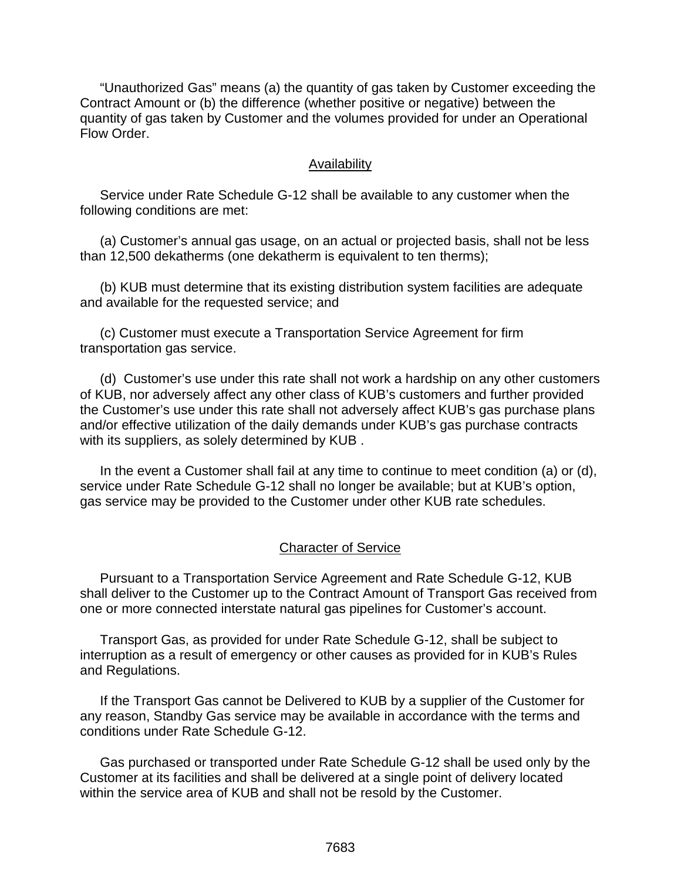"Unauthorized Gas" means (a) the quantity of gas taken by Customer exceeding the Contract Amount or (b) the difference (whether positive or negative) between the quantity of gas taken by Customer and the volumes provided for under an Operational Flow Order.

#### Availability

Service under Rate Schedule G-12 shall be available to any customer when the following conditions are met:

(a) Customer's annual gas usage, on an actual or projected basis, shall not be less than 12,500 dekatherms (one dekatherm is equivalent to ten therms);

(b) KUB must determine that its existing distribution system facilities are adequate and available for the requested service; and

(c) Customer must execute a Transportation Service Agreement for firm transportation gas service.

(d) Customer's use under this rate shall not work a hardship on any other customers of KUB, nor adversely affect any other class of KUB's customers and further provided the Customer's use under this rate shall not adversely affect KUB's gas purchase plans and/or effective utilization of the daily demands under KUB's gas purchase contracts with its suppliers, as solely determined by KUB .

In the event a Customer shall fail at any time to continue to meet condition (a) or (d), service under Rate Schedule G-12 shall no longer be available; but at KUB's option, gas service may be provided to the Customer under other KUB rate schedules.

#### Character of Service

Pursuant to a Transportation Service Agreement and Rate Schedule G-12, KUB shall deliver to the Customer up to the Contract Amount of Transport Gas received from one or more connected interstate natural gas pipelines for Customer's account.

Transport Gas, as provided for under Rate Schedule G-12, shall be subject to interruption as a result of emergency or other causes as provided for in KUB's Rules and Regulations.

If the Transport Gas cannot be Delivered to KUB by a supplier of the Customer for any reason, Standby Gas service may be available in accordance with the terms and conditions under Rate Schedule G-12.

Gas purchased or transported under Rate Schedule G-12 shall be used only by the Customer at its facilities and shall be delivered at a single point of delivery located within the service area of KUB and shall not be resold by the Customer.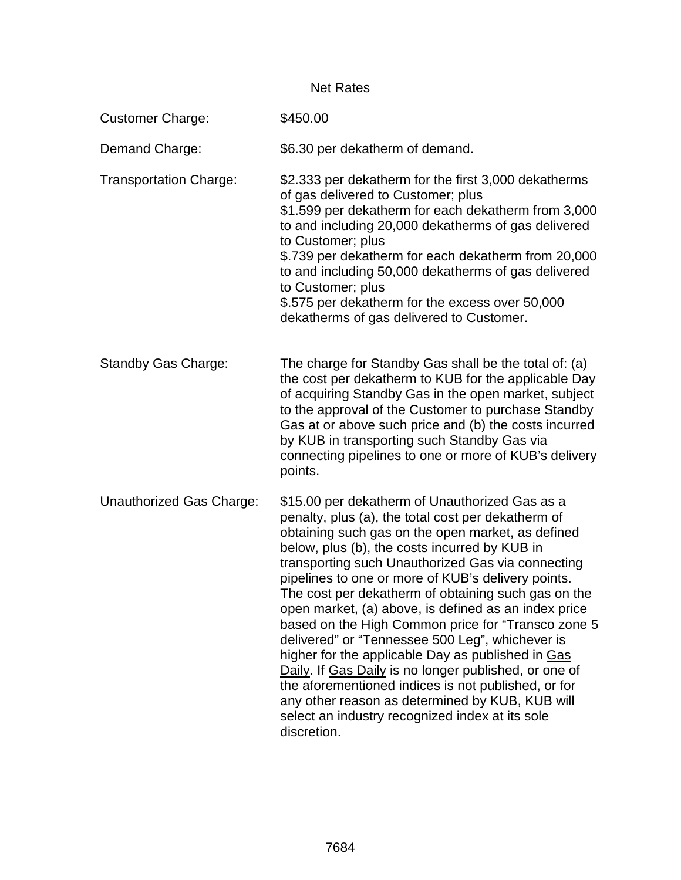# **Net Rates**

| <b>Customer Charge:</b>       | \$450.00                                                                                                                                                                                                                                                                                                                                                                                                                                                                                                                                                                                                                                                                                                                                                                                                                                |
|-------------------------------|-----------------------------------------------------------------------------------------------------------------------------------------------------------------------------------------------------------------------------------------------------------------------------------------------------------------------------------------------------------------------------------------------------------------------------------------------------------------------------------------------------------------------------------------------------------------------------------------------------------------------------------------------------------------------------------------------------------------------------------------------------------------------------------------------------------------------------------------|
| Demand Charge:                | \$6.30 per dekatherm of demand.                                                                                                                                                                                                                                                                                                                                                                                                                                                                                                                                                                                                                                                                                                                                                                                                         |
| <b>Transportation Charge:</b> | \$2.333 per dekatherm for the first 3,000 dekatherms<br>of gas delivered to Customer; plus<br>\$1.599 per dekatherm for each dekatherm from 3,000<br>to and including 20,000 dekatherms of gas delivered<br>to Customer; plus<br>\$.739 per dekatherm for each dekatherm from 20,000<br>to and including 50,000 dekatherms of gas delivered<br>to Customer; plus<br>\$.575 per dekatherm for the excess over 50,000<br>dekatherms of gas delivered to Customer.                                                                                                                                                                                                                                                                                                                                                                         |
| <b>Standby Gas Charge:</b>    | The charge for Standby Gas shall be the total of: (a)<br>the cost per dekatherm to KUB for the applicable Day<br>of acquiring Standby Gas in the open market, subject<br>to the approval of the Customer to purchase Standby<br>Gas at or above such price and (b) the costs incurred<br>by KUB in transporting such Standby Gas via<br>connecting pipelines to one or more of KUB's delivery<br>points.                                                                                                                                                                                                                                                                                                                                                                                                                                |
| Unauthorized Gas Charge:      | \$15.00 per dekatherm of Unauthorized Gas as a<br>penalty, plus (a), the total cost per dekatherm of<br>obtaining such gas on the open market, as defined<br>below, plus (b), the costs incurred by KUB in<br>transporting such Unauthorized Gas via connecting<br>pipelines to one or more of KUB's delivery points.<br>The cost per dekatherm of obtaining such gas on the<br>open market, (a) above, is defined as an index price<br>based on the High Common price for "Transco zone 5<br>delivered" or "Tennessee 500 Leg", whichever is<br>higher for the applicable Day as published in Gas<br>Daily. If Gas Daily is no longer published, or one of<br>the aforementioned indices is not published, or for<br>any other reason as determined by KUB, KUB will<br>select an industry recognized index at its sole<br>discretion. |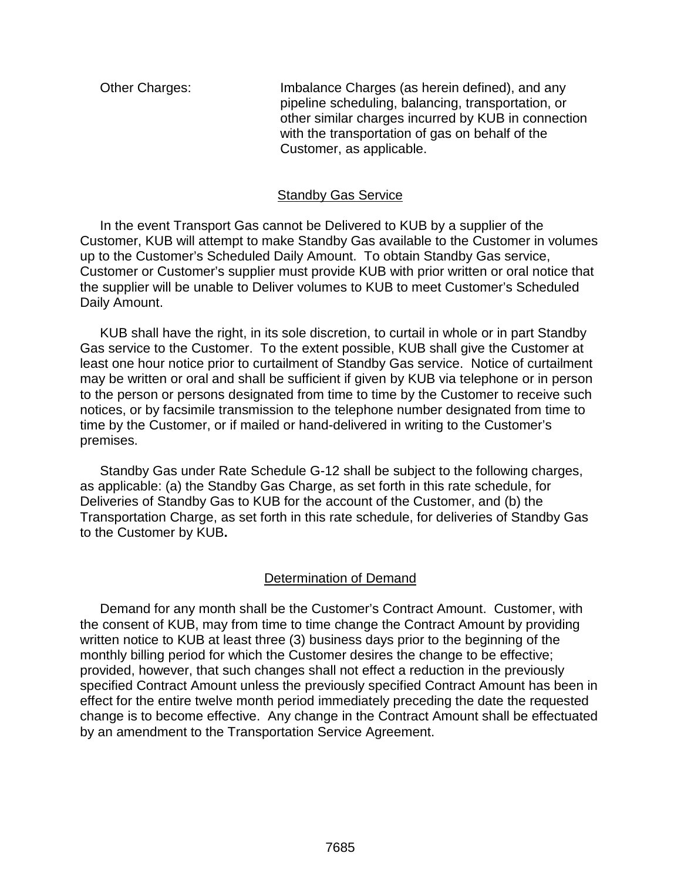Other Charges: Imbalance Charges (as herein defined), and any pipeline scheduling, balancing, transportation, or other similar charges incurred by KUB in connection with the transportation of gas on behalf of the Customer, as applicable.

## Standby Gas Service

In the event Transport Gas cannot be Delivered to KUB by a supplier of the Customer, KUB will attempt to make Standby Gas available to the Customer in volumes up to the Customer's Scheduled Daily Amount. To obtain Standby Gas service, Customer or Customer's supplier must provide KUB with prior written or oral notice that the supplier will be unable to Deliver volumes to KUB to meet Customer's Scheduled Daily Amount.

KUB shall have the right, in its sole discretion, to curtail in whole or in part Standby Gas service to the Customer. To the extent possible, KUB shall give the Customer at least one hour notice prior to curtailment of Standby Gas service. Notice of curtailment may be written or oral and shall be sufficient if given by KUB via telephone or in person to the person or persons designated from time to time by the Customer to receive such notices, or by facsimile transmission to the telephone number designated from time to time by the Customer, or if mailed or hand-delivered in writing to the Customer's premises.

Standby Gas under Rate Schedule G-12 shall be subject to the following charges, as applicable: (a) the Standby Gas Charge, as set forth in this rate schedule, for Deliveries of Standby Gas to KUB for the account of the Customer, and (b) the Transportation Charge, as set forth in this rate schedule, for deliveries of Standby Gas to the Customer by KUB**.** 

# Determination of Demand

Demand for any month shall be the Customer's Contract Amount. Customer, with the consent of KUB, may from time to time change the Contract Amount by providing written notice to KUB at least three (3) business days prior to the beginning of the monthly billing period for which the Customer desires the change to be effective; provided, however, that such changes shall not effect a reduction in the previously specified Contract Amount unless the previously specified Contract Amount has been in effect for the entire twelve month period immediately preceding the date the requested change is to become effective. Any change in the Contract Amount shall be effectuated by an amendment to the Transportation Service Agreement.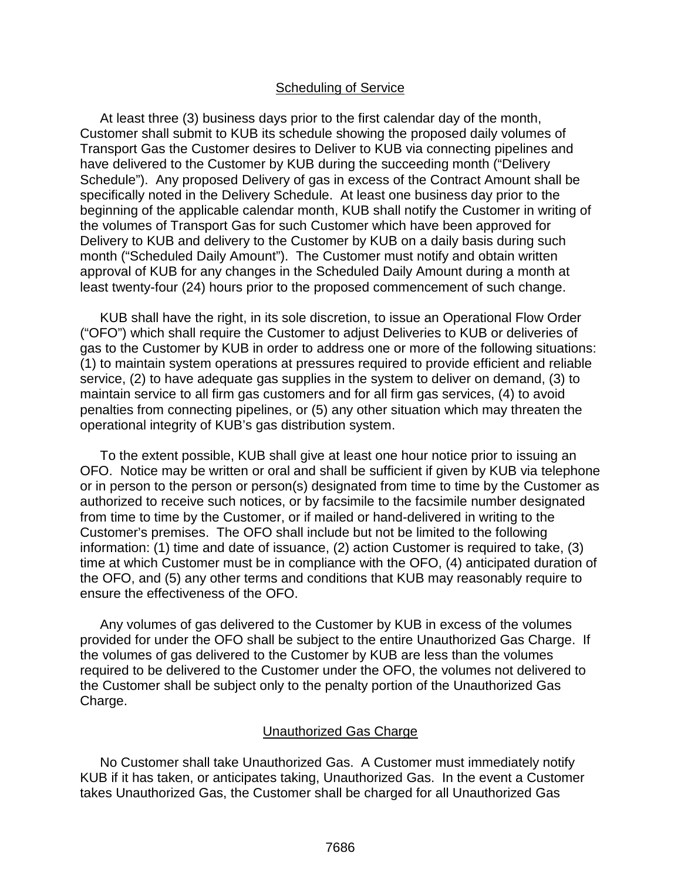#### Scheduling of Service

At least three (3) business days prior to the first calendar day of the month, Customer shall submit to KUB its schedule showing the proposed daily volumes of Transport Gas the Customer desires to Deliver to KUB via connecting pipelines and have delivered to the Customer by KUB during the succeeding month ("Delivery Schedule"). Any proposed Delivery of gas in excess of the Contract Amount shall be specifically noted in the Delivery Schedule. At least one business day prior to the beginning of the applicable calendar month, KUB shall notify the Customer in writing of the volumes of Transport Gas for such Customer which have been approved for Delivery to KUB and delivery to the Customer by KUB on a daily basis during such month ("Scheduled Daily Amount"). The Customer must notify and obtain written approval of KUB for any changes in the Scheduled Daily Amount during a month at least twenty-four (24) hours prior to the proposed commencement of such change.

KUB shall have the right, in its sole discretion, to issue an Operational Flow Order ("OFO") which shall require the Customer to adjust Deliveries to KUB or deliveries of gas to the Customer by KUB in order to address one or more of the following situations: (1) to maintain system operations at pressures required to provide efficient and reliable service, (2) to have adequate gas supplies in the system to deliver on demand, (3) to maintain service to all firm gas customers and for all firm gas services, (4) to avoid penalties from connecting pipelines, or (5) any other situation which may threaten the operational integrity of KUB's gas distribution system.

To the extent possible, KUB shall give at least one hour notice prior to issuing an OFO. Notice may be written or oral and shall be sufficient if given by KUB via telephone or in person to the person or person(s) designated from time to time by the Customer as authorized to receive such notices, or by facsimile to the facsimile number designated from time to time by the Customer, or if mailed or hand-delivered in writing to the Customer's premises. The OFO shall include but not be limited to the following information: (1) time and date of issuance, (2) action Customer is required to take, (3) time at which Customer must be in compliance with the OFO, (4) anticipated duration of the OFO, and (5) any other terms and conditions that KUB may reasonably require to ensure the effectiveness of the OFO.

Any volumes of gas delivered to the Customer by KUB in excess of the volumes provided for under the OFO shall be subject to the entire Unauthorized Gas Charge. If the volumes of gas delivered to the Customer by KUB are less than the volumes required to be delivered to the Customer under the OFO, the volumes not delivered to the Customer shall be subject only to the penalty portion of the Unauthorized Gas Charge.

#### Unauthorized Gas Charge

No Customer shall take Unauthorized Gas. A Customer must immediately notify KUB if it has taken, or anticipates taking, Unauthorized Gas. In the event a Customer takes Unauthorized Gas, the Customer shall be charged for all Unauthorized Gas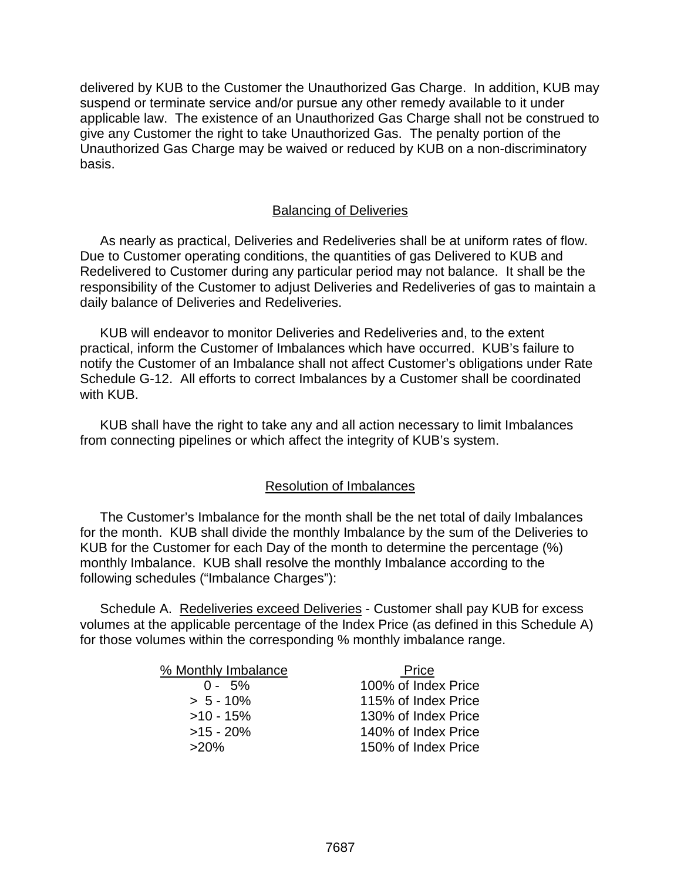delivered by KUB to the Customer the Unauthorized Gas Charge. In addition, KUB may suspend or terminate service and/or pursue any other remedy available to it under applicable law. The existence of an Unauthorized Gas Charge shall not be construed to give any Customer the right to take Unauthorized Gas. The penalty portion of the Unauthorized Gas Charge may be waived or reduced by KUB on a non-discriminatory basis.

## Balancing of Deliveries

As nearly as practical, Deliveries and Redeliveries shall be at uniform rates of flow. Due to Customer operating conditions, the quantities of gas Delivered to KUB and Redelivered to Customer during any particular period may not balance. It shall be the responsibility of the Customer to adjust Deliveries and Redeliveries of gas to maintain a daily balance of Deliveries and Redeliveries.

KUB will endeavor to monitor Deliveries and Redeliveries and, to the extent practical, inform the Customer of Imbalances which have occurred. KUB's failure to notify the Customer of an Imbalance shall not affect Customer's obligations under Rate Schedule G-12. All efforts to correct Imbalances by a Customer shall be coordinated with KUB.

KUB shall have the right to take any and all action necessary to limit Imbalances from connecting pipelines or which affect the integrity of KUB's system.

# Resolution of Imbalances

The Customer's Imbalance for the month shall be the net total of daily Imbalances for the month. KUB shall divide the monthly Imbalance by the sum of the Deliveries to KUB for the Customer for each Day of the month to determine the percentage (%) monthly Imbalance. KUB shall resolve the monthly Imbalance according to the following schedules ("Imbalance Charges"):

Schedule A. Redeliveries exceed Deliveries - Customer shall pay KUB for excess volumes at the applicable percentage of the Index Price (as defined in this Schedule A) for those volumes within the corresponding % monthly imbalance range.

| % Monthly Imbalance | Price               |
|---------------------|---------------------|
| $0 - 5\%$           | 100% of Index Price |
| $> 5 - 10\%$        | 115% of Index Price |
| $>10 - 15%$         | 130% of Index Price |
| $>15 - 20\%$        | 140% of Index Price |
| $>20\%$             | 150% of Index Price |